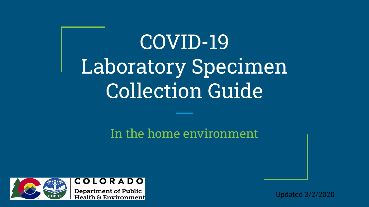# COVID-19 Laboratory Specimen Collection Guide

### In the home environment



Updated 3/2/2020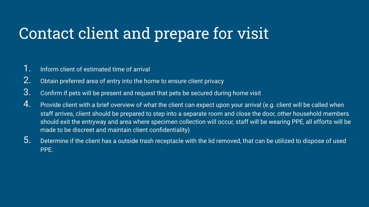## Contact client and prepare for visit

- 1. Inform client of estimated time of arrival
- 2. Obtain preferred area of entry into the home to ensure client privacy
- 3. Confirm if pets will be present and request that pets be secured during home visit
- 4. Provide client with a brief overview of what the client can expect upon your arrival (e.g. client will be called when staff arrives, client should be prepared to step into a separate room and close the door, other household members should exit the entryway and area where specimen collection will occur, staff will be wearing PPE, all efforts will be made to be discreet and maintain client confidentiality)
- $5.$  Determine if the client has a outside trash receptacle with the lid removed, that can be utilized to dispose of used PPE.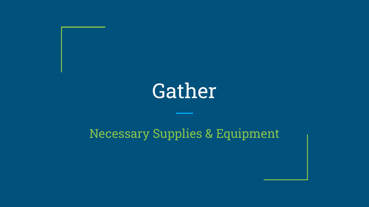# Gather

### Necessary Supplies & Equipment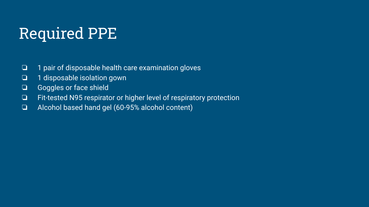## Required PPE

- ❏ 1 pair of disposable health care examination gloves
- ❏ 1 disposable isolation gown
- ❏ Goggles or face shield
- ❏ Fit-tested N95 respirator or higher level of respiratory protection
- ❏ Alcohol based hand gel (60-95% alcohol content)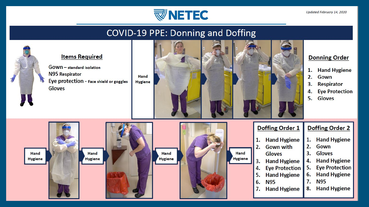

### **COVID-19 PPE: Donning and Doffing**

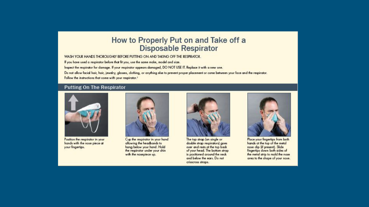### How to Properly Put on and Take off a **Disposable Respirator**

WASH YOUR HANDS THOROUGHLY BEFORE PUTTING ON AND TAKING OFF THE RESPIRATOR.

If you have used a respirator before that fit you, use the same make, model and size.

Inspect the respirator for damage. If your respirator appears damaged, DO NOT USE IT. Replace it with a new one.

Do not allow facial hair, hair, jewelry, glasses, dothing, or anything else to prevent proper placement or come between your face and the respirator. Follow the instructions that come with your respirator.<sup>1</sup>

#### **Putting On The Respirator**



Position the respirator in your hands with the nose piece at your fingertips.



Cup the respirator in your hand allowing the headbands to hang below your hand. Hold the respirator under your chin with the nosepiece up.



The top strap (on single or double strap respirators) goes over and rests at the top back of your head. The bottom strap is positioned around the neck and below the ears. Do not crisscross straps.



Place your fingertips from both hands at the top of the metal nose dip (if present). Slide fingertips down both sides of the metal strip to mold the nose area to the shape of your nose.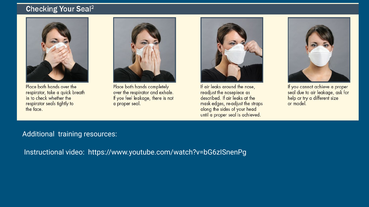### **Checking Your Seal<sup>2</sup>**



Place both hands over the respirator, take a quick breath in to check whether the respirator seals tightly to the face.



Place both hands completely over the respirator and exhale. If you feel leakage, there is not a proper seal.



If air leaks around the nose, readjust the nosepiece as described. If air leaks at the mask edges, re-adjust the straps along the sides of your head until a proper seal is achieved.



If you cannot achieve a proper seal due to air leakage, ask for help or try a different size or model.

### Additional training resources:

Instructional video: <https://www.youtube.com/watch?v=bG6zISnenPg>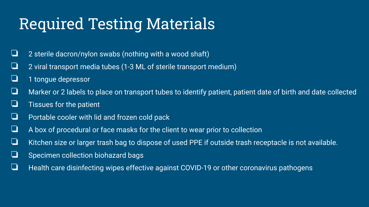## Required Testing Materials

- ❏ 2 sterile dacron/nylon swabs (nothing with a wood shaft)
- $\Box$  2 viral transport media tubes (1-3 ML of sterile transport medium)
- ❏ 1 tongue depressor
- ❏ Marker or 2 labels to place on transport tubes to identify patient, patient date of birth and date collected
- ❏ Tissues for the patient
- ❏ Portable cooler with lid and frozen cold pack
- $\Box$  A box of procedural or face masks for the client to wear prior to collection
- ❏ Kitchen size or larger trash bag to dispose of used PPE if outside trash receptacle is not available.
- ❏ Specimen collection biohazard bags
- ❏ Health care disinfecting wipes effective against COVID-19 or other coronavirus pathogens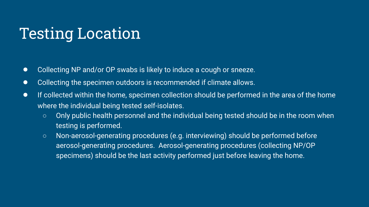## Testing Location

- Collecting NP and/or OP swabs is likely to induce a cough or sneeze.
- Collecting the specimen outdoors is recommended if climate allows.
- If collected within the home, specimen collection should be performed in the area of the home where the individual being tested self-isolates.
	- Only public health personnel and the individual being tested should be in the room when testing is performed.
	- Non-aerosol-generating procedures (e.g. interviewing) should be performed before aerosol-generating procedures. Aerosol-generating procedures (collecting NP/OP specimens) should be the last activity performed just before leaving the home.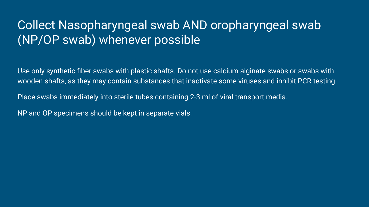### Collect Nasopharyngeal swab AND oropharyngeal swab (NP/OP swab) whenever possible

Use only synthetic fiber swabs with plastic shafts. Do not use calcium alginate swabs or swabs with wooden shafts, as they may contain substances that inactivate some viruses and inhibit PCR testing.

Place swabs immediately into sterile tubes containing 2-3 ml of viral transport media.

NP and OP specimens should be kept in separate vials.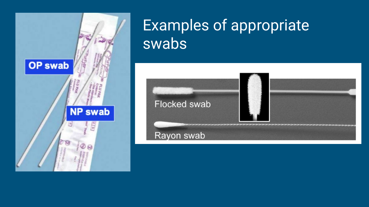

### Examples of appropriate swabs

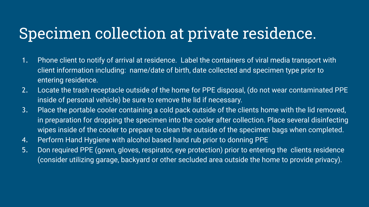## Specimen collection at private residence.

- 1. Phone client to notify of arrival at residence. Label the containers of viral media transport with client information including: name/date of birth, date collected and specimen type prior to entering residence.
- 2. Locate the trash receptacle outside of the home for PPE disposal, (do not wear contaminated PPE inside of personal vehicle) be sure to remove the lid if necessary.
- 3. Place the portable cooler containing a cold pack outside of the clients home with the lid removed, in preparation for dropping the specimen into the cooler after collection. Place several disinfecting wipes inside of the cooler to prepare to clean the outside of the specimen bags when completed.
- 4. Perform Hand Hygiene with alcohol based hand rub prior to donning PPE
- 5. Don required PPE (gown, gloves, respirator, eye protection) prior to entering the clients residence (consider utilizing garage, backyard or other secluded area outside the home to provide privacy).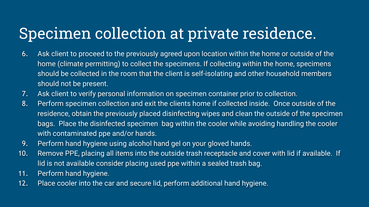## Specimen collection at private residence.

- 6. Ask client to proceed to the previously agreed upon location within the home or outside of the home (climate permitting) to collect the specimens. If collecting within the home, specimens should be collected in the room that the client is self-isolating and other household members should not be present.
- 7. Ask client to verify personal information on specimen container prior to collection.
- 8. Perform specimen collection and exit the clients home if collected inside. Once outside of the residence, obtain the previously placed disinfecting wipes and clean the outside of the specimen bags. Place the disinfected specimen bag within the cooler while avoiding handling the cooler with contaminated ppe and/or hands.
- 9. Perform hand hygiene using alcohol hand gel on your gloved hands.
- 10. Remove PPE, placing all items into the outside trash receptacle and cover with lid if available. If lid is not available consider placing used ppe within a sealed trash bag.
- 11. Perform hand hygiene.
- 12. Place cooler into the car and secure lid, perform additional hand hygiene.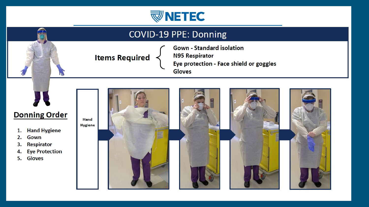

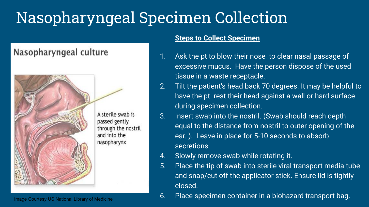## Nasopharyngeal Specimen Collection

### Nasopharyngeal culture



A sterile swab is passed gently through the nostril and into the nasopharynx

#### **Steps to Collect Specimen**

- 1. Ask the pt to blow their nose to clear nasal passage of excessive mucus. Have the person dispose of the used tissue in a waste receptacle.
- 2. Tilt the patient's head back 70 degrees. It may be helpful to have the pt. rest their head against a wall or hard surface during specimen collection.
- 3. Insert swab into the nostril. (Swab should reach depth equal to the distance from nostril to outer opening of the ear. ). Leave in place for 5-10 seconds to absorb secretions.
- 4. Slowly remove swab while rotating it.
- 5. Place the tip of swab into sterile viral transport media tube and snap/cut off the applicator stick. Ensure lid is tightly closed.
- Image Courtesy US National Library of Medicine **1990 120 Comment Container in a biohazard transport bag.**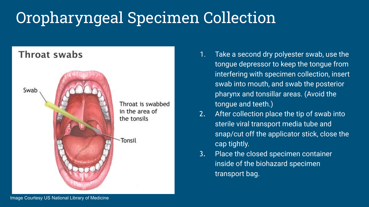## Oropharyngeal Specimen Collection

# Throat swabs Swab Throat is swabbed in the area of the tonsils Tonsil

- 1. Take a second dry polyester swab, use the tongue depressor to keep the tongue from interfering with specimen collection, insert swab into mouth, and swab the posterior pharynx and tonsillar areas. (Avoid the tongue and teeth.)
- 2. After collection place the tip of swab into sterile viral transport media tube and snap/cut off the applicator stick, close the cap tightly.
- 3. Place the closed specimen container inside of the biohazard specimen transport bag.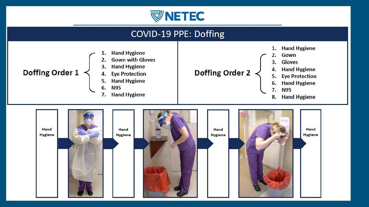



- 6. **N95**
- $7.$ **Hand Hygiene**
- 
- **Hand Hygiene**
- **Eye Protection**
- **Hand Hygiene** 6.
- 7. **N95**
- **Hand Hygiene** 8.

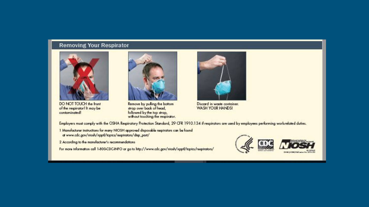#### **Removing Your Respirator**



DO NOT TOUCH the front of the respirator! It may be contaminated!



Remove by puling the bottom strap over back of head, followed by the top strap,<br>without touching the respirator.



Discord in waste container. **WASH YOUR HANDS!** 

Employers must comply with the OSHA Respiratory Protection Standard, 29 CFR 1910.134 if respirators are used by employees performing work-related duties.

1 Manufacturer instructions for many NIOSH approved disposable respirators can be found at www.adc.gav/niosh/npptl/tapics/respirators/disp\_part/

2 According to the manufacturer's recommendations

For more information call 1-800-CDC-INFO or go to http://www.cdc.gav/niceh/npptl/topics/respirators/



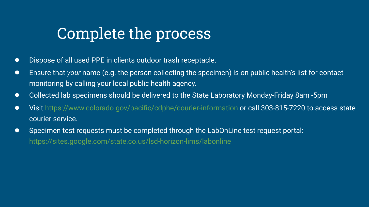### Complete the process

- Dispose of all used PPE in clients outdoor trash receptacle.
- Ensure that *your* name (e.g. the person collecting the specimen) is on public health's list for contact monitoring by calling your local public health agency.
- Collected lab specimens should be delivered to the State Laboratory Monday-Friday 8am -5pm
- Visit <https://www.colorado.gov/pacific/cdphe/courier-information> or call 303-815-7220 to access state courier service.
- Specimen test requests must be completed through the LabOnLine test request portal: <https://sites.google.com/state.co.us/lsd-horizon-lims/labonline>